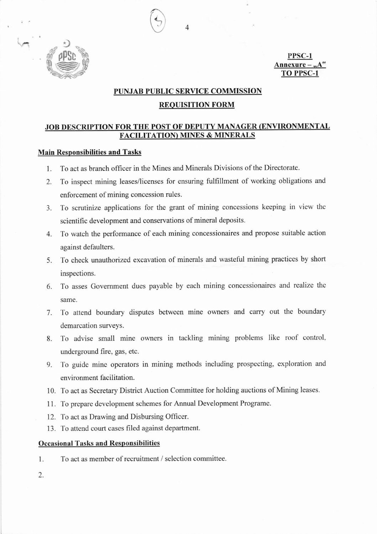

PPSC-1 Annexure -**TO PPSC-1** 

## PUNJAB PUBLIC SERVICE COMMISSION

 $\overline{4}$ 

### **REQUISITION FORM**

# JOB DESCRIPTION FOR THE POST OF DEPUTY MANAGER (ENVIRONMENTAL **FACILITATION) MINES & MINERALS**

## **Main Responsibilities and Tasks**

- To act as branch officer in the Mines and Minerals Divisions of the Directorate. 1.
- To inspect mining leases/licenses for ensuring fulfillment of working obligations and 2. enforcement of mining concession rules.
- To scrutinize applications for the grant of mining concessions keeping in view the 3. scientific development and conservations of mineral deposits.
- To watch the performance of each mining concessionaires and propose suitable action 4. against defaulters.
- To check unauthorized excavation of minerals and wasteful mining practices by short 5. inspections.
- 6. To asses Government dues payable by each mining concessionaires and realize the same.
- 7. To attend boundary disputes between mine owners and carry out the boundary demarcation surveys.
- To advise small mine owners in tackling mining problems like roof control, 8. underground fire, gas, etc.
- To guide mine operators in mining methods including prospecting, exploration and 9. environment facilitation.
- 10. To act as Secretary District Auction Committee for holding auctions of Mining leases.
- 11. To prepare development schemes for Annual Development Programe.
- 12. To act as Drawing and Disbursing Officer.
- 13. To attend court cases filed against department.

#### **Occasional Tasks and Responsibilities**

To act as member of recruitment / selection committee. 1.

2.